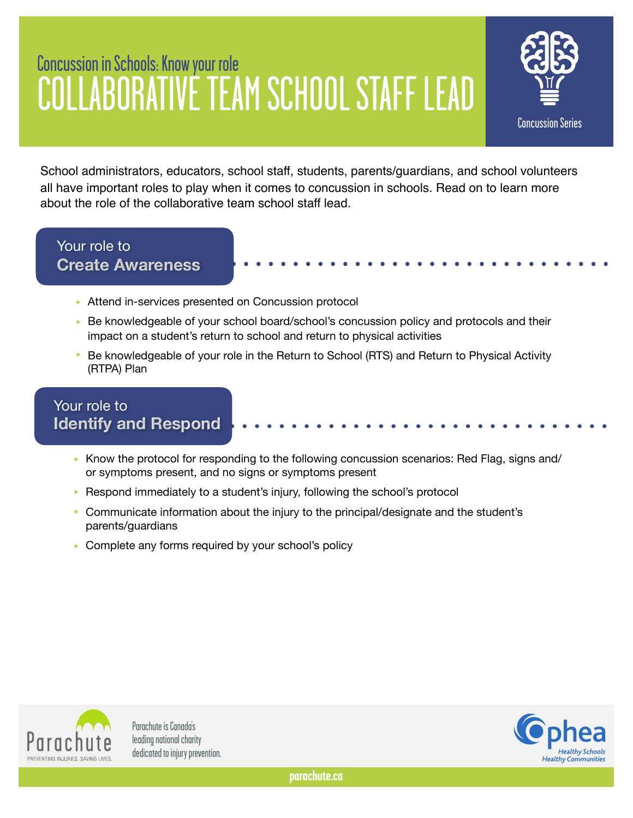# Concussion in Schools: Know your role COLLABORATIVE TEAM SCHOOL STAFF LEAD



School administrators, educators, school staff, students, parents/guardians, and school volunteers all have important roles to play when it comes to concussion in schools. Read on to learn more about the role of the collaborative team school staff lead.

#### Your role to **Create Awareness**

- ▶ Attend in-services presented on Concussion protocol
- ► Be knowledgeable of your school board/school's concussion policy and protocols and their impact on a student's return to school and return to physical activities
- ▶ Be knowledgeable of your role in the Return to School (RTS) and Return to Physical Activity (RTPA) Plan

### Your role to **Identify and Respond**

- $\triangleright$  Know the protocol for responding to the following concussion scenarios: Red Flag, signs and/ or symptoms present, and no signs or symptoms present
- ▶ Respond immediately to a student's injury, following the school's protocol
- $\triangleright$  Communicate information about the injury to the principal/designate and the student's parents/guardians
- ► Complete any forms required by your school's policy



Parachute is Canada's leading national charity dedicated to injury prevention.